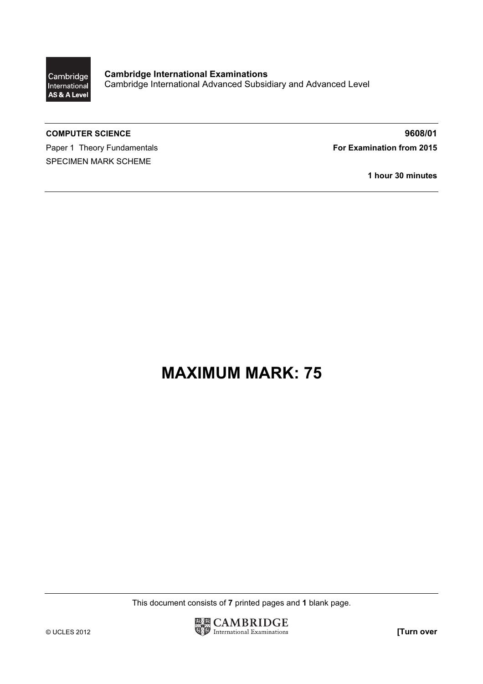

Cambridge International Examinations Cambridge International Advanced Subsidiary and Advanced Level

Paper 1 Theory Fundamentals **For Examination from 2015** SPECIMEN MARK SCHEME

COMPUTER SCIENCE 9608/01

1 hour 30 minutes

## MAXIMUM MARK: 75

This document consists of 7 printed pages and 1 blank page.

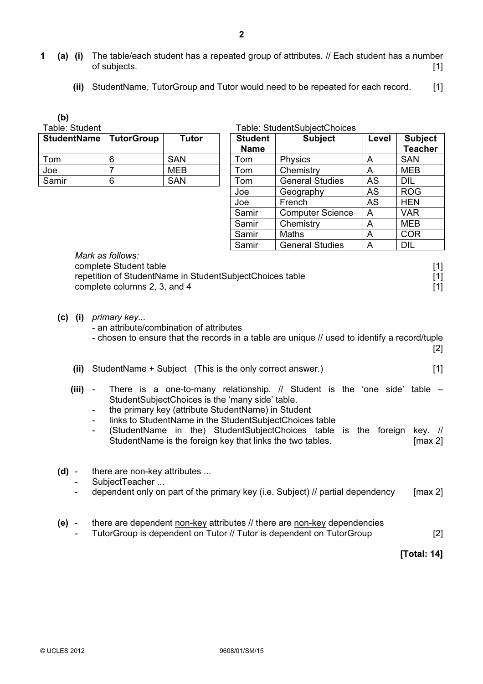- 1 (a) (i) The table/each student has a repeated group of attributes. // Each student has a number of subjects. [1]
	- (ii) StudentName, TutorGroup and Tutor would need to be repeated for each record. [1]

(b)

Table: Student

| <b>StudentName</b> | TutorGroup | <b>Tutor</b> | <b>Student</b><br><b>Name</b> |
|--------------------|------------|--------------|-------------------------------|
| Гоm                | 6          | <b>SAN</b>   | Tom                           |
| Joe                |            | MEB          | Tom                           |
| Samir              | Ⴌ          | SAN          | Tom                           |

|  | Table: StudentSubjectChoices |  |  |
|--|------------------------------|--|--|
|  |                              |  |  |

| StudentName   TutorGroup |   | <b>Tutor</b> | <b>Student</b><br><b>Name</b> | <b>Subject</b>          | Level     | <b>Subject</b><br><b>Teacher</b> |
|--------------------------|---|--------------|-------------------------------|-------------------------|-----------|----------------------------------|
| Tom                      | 6 | <b>SAN</b>   | Tom                           | Physics                 | A         | <b>SAN</b>                       |
| Joe                      |   | MEB          | Tom                           | Chemistry               | A         | MEB                              |
| Samir                    | 6 | <b>SAN</b>   | Tom                           | <b>General Studies</b>  | <b>AS</b> | DIL                              |
|                          |   |              | Joe                           | Geography               | AS        | <b>ROG</b>                       |
|                          |   |              | Joe                           | French                  | AS        | <b>HEN</b>                       |
|                          |   |              | Samir                         | <b>Computer Science</b> | A         | <b>VAR</b>                       |
|                          |   |              | Samir                         | Chemistry               | A         | MEB                              |
|                          |   |              | Samir                         | Maths                   | A         | <b>COR</b>                       |
|                          |   |              | Samir                         | <b>General Studies</b>  | A         | <b>DIL</b>                       |

| <i>IVIAIN AS IVIIVWS.</i>                                |                   |
|----------------------------------------------------------|-------------------|
| complete Student table                                   | $\lceil 1 \rceil$ |
| repetition of StudentName in StudentSubjectChoices table | $\lceil 1 \rceil$ |
| complete columns 2, 3, and 4                             | $\lceil 1 \rceil$ |

#### (c) (i) primary key...

Mark as follows:

- an attribute/combination of attributes

- chosen to ensure that the records in a table are unique // used to identify a record/tuple [2]
- (ii) StudentName + Subject (This is the only correct answer.) [1]
- (iii) There is a one-to-many relationship.  $//$  Student is the 'one side' table  $-$ StudentSubjectChoices is the 'many side' table.
	- the primary key (attribute StudentName) in Student
	- links to StudentName in the StudentSubjectChoices table
	- (StudentName in the) StudentSubjectChoices table is the foreign key. // StudentName is the foreign key that links the two tables. [max 2]
- (d) there are non-key attributes ...
	- SubjectTeacher ...
	- dependent only on part of the primary key (i.e. Subject)  $\ell$  partial dependency [max 2]
- (e) there are dependent non-key attributes // there are non-key dependencies
	- TutorGroup is dependent on Tutor // Tutor is dependent on TutorGroup [2]

[Total: 14]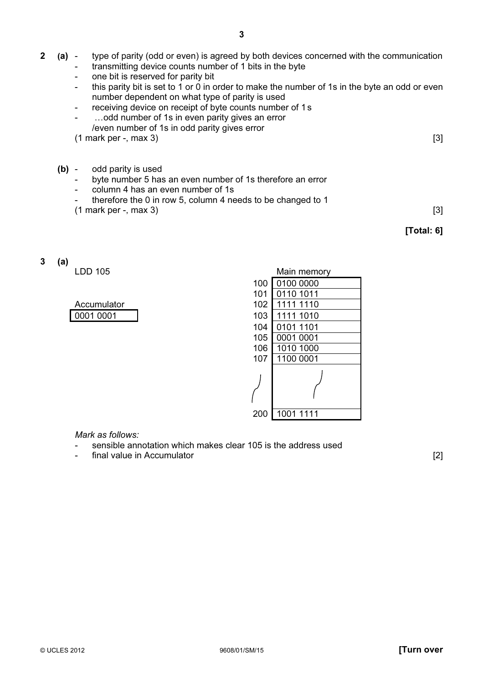- 2 (a) type of parity (odd or even) is agreed by both devices concerned with the communication
	- transmitting device counts number of 1 bits in the byte
		- one bit is reserved for parity bit
		- this parity bit is set to 1 or 0 in order to make the number of 1s in the byte an odd or even number dependent on what type of parity is used
		- receiving device on receipt of byte counts number of 1s
		- ... odd number of 1s in even parity gives an error /even number of 1s in odd parity gives error
		- $(1 \text{ mark per} \text{ max } 3)$  [3]
	- (b) odd parity is used
		- byte number 5 has an even number of 1s therefore an error
		- column 4 has an even number of 1s
		- therefore the 0 in row 5, column 4 needs to be changed to 1
		- $(1 \text{ mark per} -, \text{ max } 3)$  [3]

### [Total: 6]

### 3 (a)

 $LDD$  105

| Accumulator |  |  |  |
|-------------|--|--|--|
| 0001 0001   |  |  |  |

| LDD 105     |                  | Main memory |
|-------------|------------------|-------------|
|             | 100              | 0100 0000   |
|             | 101              | 0110 1011   |
| Accumulator | 102 <sub>1</sub> | 1111 1110   |
| 0001 0001   | 103              | 1111 1010   |
|             | 104              | 0101 1101   |
|             | 105              | 0001 0001   |
|             | 106              | 1010 1000   |
|             | 107              | 1100 0001   |
|             |                  |             |
|             | 200              | 1001 1111   |

Mark as follows:

- sensible annotation which makes clear 105 is the address used
- final value in Accumulator **and in Accumulator** [2]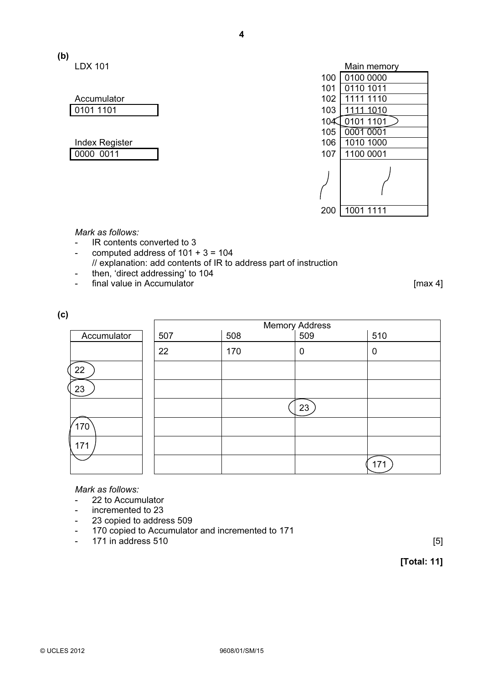# (b)

Accumulator 0101 1101

| <b>Index Register</b> | 106 1010 1000   |
|-----------------------|-----------------|
| 0000 0011             | 107   1100 0001 |

| LDX 101               |     | Main memory |
|-----------------------|-----|-------------|
|                       | 100 | 0100 0000   |
|                       | 101 | 0110 1011   |
| Accumulator           | 102 | 1111 1110   |
| 0101 1101             | 103 | 11111010    |
|                       | 104 | 0101 1101   |
|                       | 105 | 0001 0001   |
| <b>Index Register</b> | 106 | 1010 1000   |
| 0000 0011             | 107 | 1100 0001   |
|                       |     |             |
|                       | 200 | 1001 1111   |

Mark as follows:

- IR contents converted to 3
- computed address of  $101 + 3 = 104$
- // explanation: add contents of IR to address part of instruction
- then, 'direct addressing' to 104
- final value in Accumulator **and interval and intervalse and intervalse in the set of the final value of the set of the set of the set of the set of the set of the set of the set of the set of the set of the set of the se**

|             |     |     | Memory Address<br>  509 |     |
|-------------|-----|-----|-------------------------|-----|
| Accumulator | 507 | 508 |                         | 510 |
|             | 22  | 170 | 0                       | 0   |
| 22          |     |     |                         |     |
| 23          |     |     |                         |     |
|             |     |     | 23                      |     |
| 170         |     |     |                         |     |
| 171         |     |     |                         |     |
|             |     |     |                         | 171 |

Mark as follows:

- 22 to Accumulator
- incremented to 23
- 23 copied to address 509
- 170 copied to Accumulator and incremented to 171
- $-$  171 in address 510  $[5]$

[Total: 11]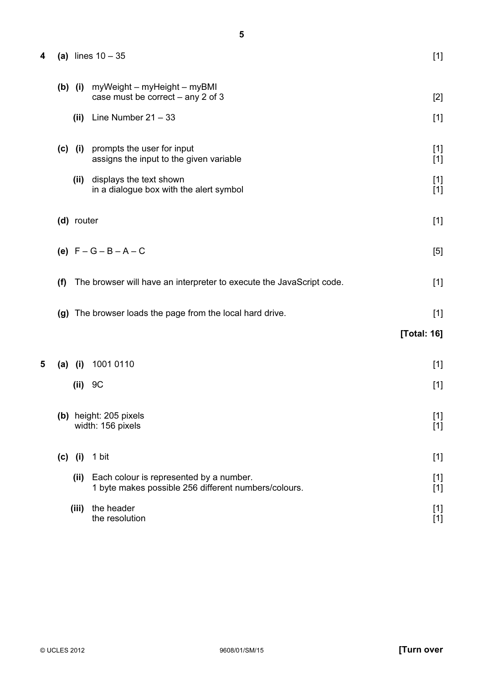| 4 |     |             | (a) lines $10 - 35$                                                                             | $[1]$                |
|---|-----|-------------|-------------------------------------------------------------------------------------------------|----------------------|
|   |     | $(b)$ $(i)$ | myWeight – myHeight – myBMI<br>case must be correct - any 2 of 3                                | $[2]$                |
|   |     |             | (ii) Line Number $21 - 33$                                                                      | $[1]$                |
|   |     | $(c)$ (i)   | prompts the user for input<br>assigns the input to the given variable                           | $[1]$<br>$[1]$       |
|   |     | (ii)        | displays the text shown<br>in a dialogue box with the alert symbol                              | $[1]$<br>$[1]$       |
|   |     | (d) router  |                                                                                                 | $[1]$                |
|   |     |             | (e) $F - G - B - A - C$                                                                         | [5]                  |
|   | (f) |             | The browser will have an interpreter to execute the JavaScript code.                            | $[1]$                |
|   |     |             | (g) The browser loads the page from the local hard drive.                                       | $[1]$<br>[Total: 16] |
| 5 | (a) | (i)         | 1001 0110                                                                                       | $[1]$                |
|   |     | (ii)        | 9C                                                                                              | $[1]$                |
|   |     |             | (b) height: 205 pixels<br>width: 156 pixels                                                     | $[1]$<br>$[1]$       |
|   |     | $(c)$ (i)   | 1 bit                                                                                           | $[1]$                |
|   |     | (iii)       | Each colour is represented by a number.<br>1 byte makes possible 256 different numbers/colours. | $[1]$<br>$[1]$       |
|   |     | (iii)       | the header<br>the resolution                                                                    | $[1]$<br>$[1]$       |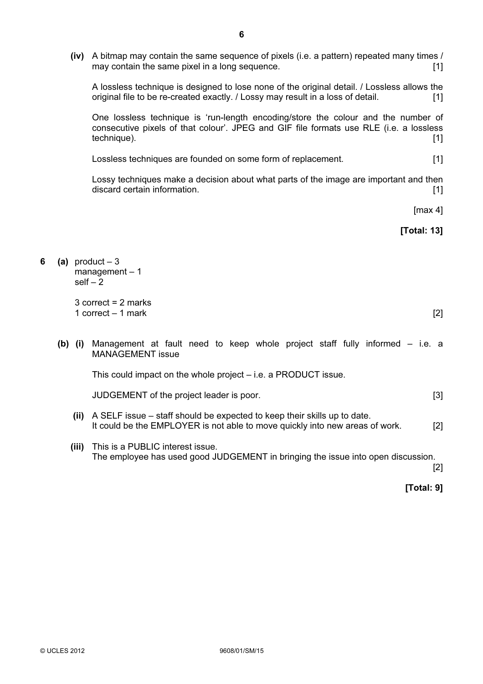(iv) A bitmap may contain the same sequence of pixels (i.e. a pattern) repeated many times / may contain the same pixel in a long sequence. **Example 2** and  $\lceil 1 \rceil$ 

 A lossless technique is designed to lose none of the original detail. / Lossless allows the original file to be re-created exactly. / Lossy may result in a loss of detail. [1]

 One lossless technique is 'run-length encoding/store the colour and the number of consecutive pixels of that colour'. JPEG and GIF file formats use RLE (i.e. a lossless technique). [1] **the contract of the contract of the contract of the contract of the contract of the contract of the contract of the contract of the contract of the contract of the contract of the contract of the contract** 

Lossless techniques are founded on some form of replacement. [1]

 Lossy techniques make a decision about what parts of the image are important and then discard certain information. **[1] and information contained** *n* **i 1** 

[max 4]

[Total: 13]

6 (a) product  $-3$  $manacent - 1$ self  $-\bar{2}$ 

> 3 correct = 2 marks 1 correct – 1 mark [2]

(b) (i) Management at fault need to keep whole project staff fully informed – i.e. a MANAGEMENT issue

This could impact on the whole project – i.e. a PRODUCT issue.

JUDGEMENT of the project leader is poor. [3]

- (ii) A SELF issue staff should be expected to keep their skills up to date. It could be the EMPLOYER is not able to move quickly into new areas of work. [2]
- (iii) This is a PUBLIC interest issue. The employee has used good JUDGEMENT in bringing the issue into open discussion.

 $[2]$ 

[Total: 9]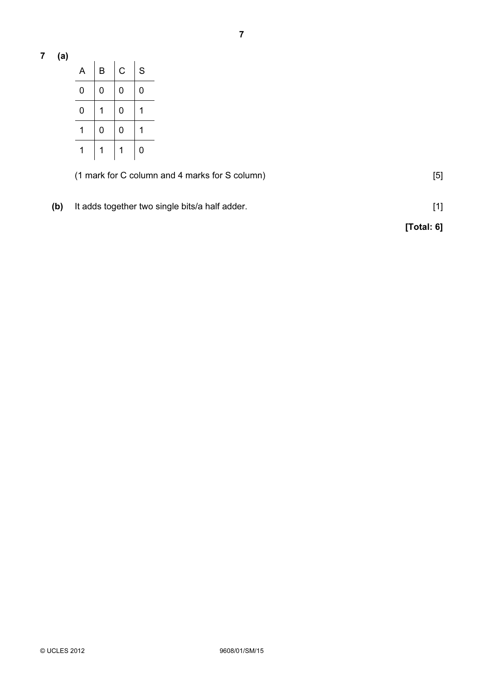7 (a)

| A | B | С | S |
|---|---|---|---|
| 0 | 0 | 0 | 0 |
| 0 |   | 0 |   |
|   | 0 | 0 |   |
|   |   |   | 0 |

(1 mark for C column and 4 marks for S column) [5]

(b) It adds together two single bits/a half adder. [1]

[Total: 6]